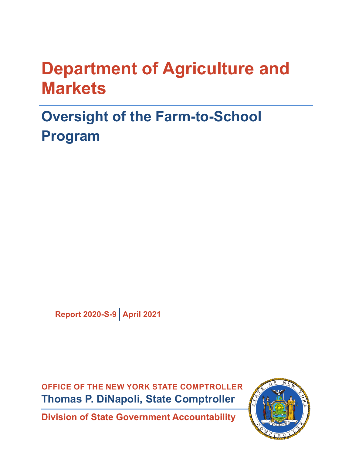# **Department of Agriculture and Markets**

# **Oversight of the Farm-to-School Program**

**Report 2020-S-9 April 2021**

**OFFICE OF THE NEW YORK STATE COMPTROLLER Thomas P. DiNapoli, State Comptroller**

**Division of State Government Accountability**

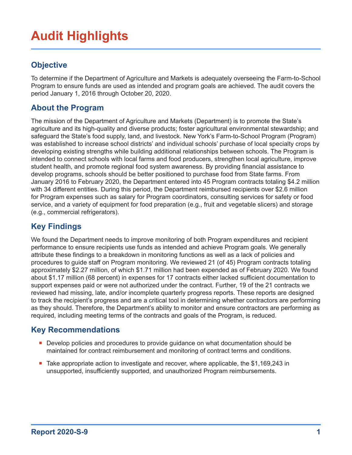## **Audit Highlights**

### **Objective**

To determine if the Department of Agriculture and Markets is adequately overseeing the Farm-to-School Program to ensure funds are used as intended and program goals are achieved. The audit covers the period January 1, 2016 through October 20, 2020.

#### **About the Program**

The mission of the Department of Agriculture and Markets (Department) is to promote the State's agriculture and its high-quality and diverse products; foster agricultural environmental stewardship; and safeguard the State's food supply, land, and livestock. New York's Farm-to-School Program (Program) was established to increase school districts' and individual schools' purchase of local specialty crops by developing existing strengths while building additional relationships between schools. The Program is intended to connect schools with local farms and food producers, strengthen local agriculture, improve student health, and promote regional food system awareness. By providing financial assistance to develop programs, schools should be better positioned to purchase food from State farms. From January 2016 to February 2020, the Department entered into 45 Program contracts totaling \$4.2 million with 34 different entities. During this period, the Department reimbursed recipients over \$2.6 million for Program expenses such as salary for Program coordinators, consulting services for safety or food service, and a variety of equipment for food preparation (e.g., fruit and vegetable slicers) and storage (e.g., commercial refrigerators).

### **Key Findings**

We found the Department needs to improve monitoring of both Program expenditures and recipient performance to ensure recipients use funds as intended and achieve Program goals. We generally attribute these findings to a breakdown in monitoring functions as well as a lack of policies and procedures to guide staff on Program monitoring. We reviewed 21 (of 45) Program contracts totaling approximately \$2.27 million, of which \$1.71 million had been expended as of February 2020. We found about \$1.17 million (68 percent) in expenses for 17 contracts either lacked sufficient documentation to support expenses paid or were not authorized under the contract. Further, 19 of the 21 contracts we reviewed had missing, late, and/or incomplete quarterly progress reports. These reports are designed to track the recipient's progress and are a critical tool in determining whether contractors are performing as they should. Therefore, the Department's ability to monitor and ensure contractors are performing as required, including meeting terms of the contracts and goals of the Program, is reduced.

### **Key Recommendations**

- **Develop policies and procedures to provide guidance on what documentation should be** maintained for contract reimbursement and monitoring of contract terms and conditions.
- Take appropriate action to investigate and recover, where applicable, the \$1,169,243 in unsupported, insufficiently supported, and unauthorized Program reimbursements.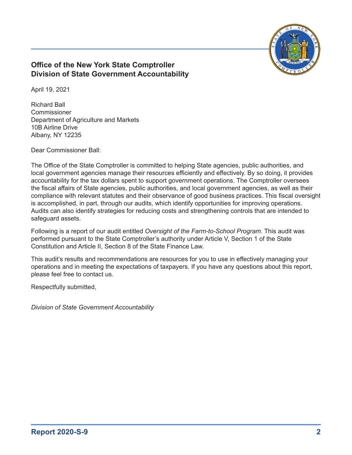

#### **Office of the New York State Comptroller Division of State Government Accountability**

April 19, 2021

Richard Ball Commissioner Department of Agriculture and Markets 10B Airline Drive Albany, NY 12235

Dear Commissioner Ball:

The Office of the State Comptroller is committed to helping State agencies, public authorities, and local government agencies manage their resources efficiently and effectively. By so doing, it provides accountability for the tax dollars spent to support government operations. The Comptroller oversees the fiscal affairs of State agencies, public authorities, and local government agencies, as well as their compliance with relevant statutes and their observance of good business practices. This fiscal oversight is accomplished, in part, through our audits, which identify opportunities for improving operations. Audits can also identify strategies for reducing costs and strengthening controls that are intended to safeguard assets.

Following is a report of our audit entitled *Oversight of the Farm-to-School Program*. This audit was performed pursuant to the State Comptroller's authority under Article V, Section 1 of the State Constitution and Article II, Section 8 of the State Finance Law.

This audit's results and recommendations are resources for you to use in effectively managing your operations and in meeting the expectations of taxpayers. If you have any questions about this report, please feel free to contact us.

Respectfully submitted,

*Division of State Government Accountability*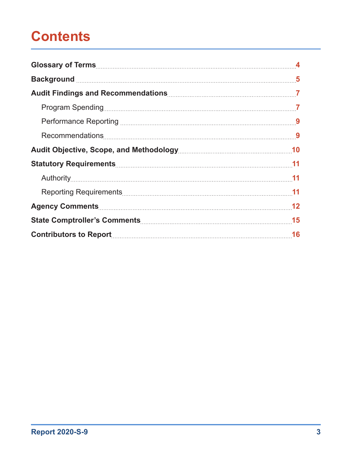## **Contents**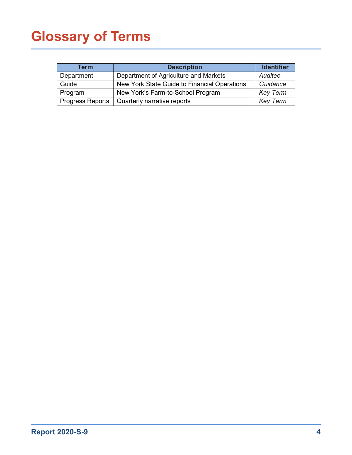# <span id="page-4-0"></span>**Glossary of Terms**

| Term                    | <b>Description</b>                           | <b>Identifier</b> |
|-------------------------|----------------------------------------------|-------------------|
| Department              | Department of Agriculture and Markets        | Auditee           |
| Guide                   | New York State Guide to Financial Operations | Guidance          |
| Program                 | New York's Farm-to-School Program            | <b>Key Term</b>   |
| <b>Progress Reports</b> | Quarterly narrative reports                  | <b>Key Term</b>   |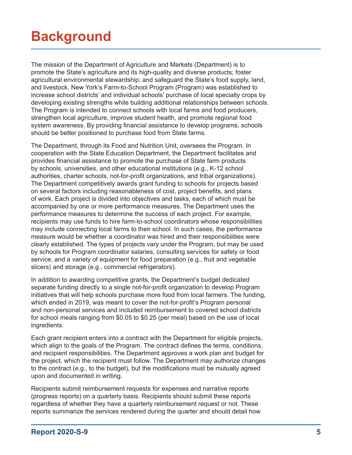# <span id="page-5-0"></span>**Background**

The mission of the Department of Agriculture and Markets (Department) is to promote the State's agriculture and its high-quality and diverse products; foster agricultural environmental stewardship; and safeguard the State's food supply, land, and livestock. New York's Farm-to-School Program (Program) was established to increase school districts' and individual schools' purchase of local specialty crops by developing existing strengths while building additional relationships between schools. The Program is intended to connect schools with local farms and food producers, strengthen local agriculture, improve student health, and promote regional food system awareness. By providing financial assistance to develop programs, schools should be better positioned to purchase food from State farms.

The Department, through its Food and Nutrition Unit, oversees the Program. In cooperation with the State Education Department, the Department facilitates and provides financial assistance to promote the purchase of State farm products by schools, universities, and other educational institutions (e.g., K-12 school authorities, charter schools, not-for-profit organizations, and tribal organizations). The Department competitively awards grant funding to schools for projects based on several factors including reasonableness of cost, project benefits, and plans of work. Each project is divided into objectives and tasks, each of which must be accompanied by one or more performance measures. The Department uses the performance measures to determine the success of each project. For example, recipients may use funds to hire farm-to-school coordinators whose responsibilities may include connecting local farms to their school. In such cases, the performance measure would be whether a coordinator was hired and their responsibilities were clearly established. The types of projects vary under the Program, but may be used by schools for Program coordinator salaries, consulting services for safety or food service, and a variety of equipment for food preparation (e.g., fruit and vegetable slicers) and storage (e.g., commercial refrigerators).

In addition to awarding competitive grants, the Department's budget dedicated separate funding directly to a single not-for-profit organization to develop Program initiatives that will help schools purchase more food from local farmers. The funding, which ended in 2019, was meant to cover the not-for-profit's Program personal and non-personal services and included reimbursement to covered school districts for school meals ranging from \$0.05 to \$0.25 (per meal) based on the use of local ingredients.

Each grant recipient enters into a contract with the Department for eligible projects, which align to the goals of the Program. The contract defines the terms, conditions, and recipient responsibilities. The Department approves a work plan and budget for the project, which the recipient must follow. The Department may authorize changes to the contract (e.g., to the budget), but the modifications must be mutually agreed upon and documented in writing.

Recipients submit reimbursement requests for expenses and narrative reports (progress reports) on a quarterly basis. Recipients should submit these reports regardless of whether they have a quarterly reimbursement request or not. These reports summarize the services rendered during the quarter and should detail how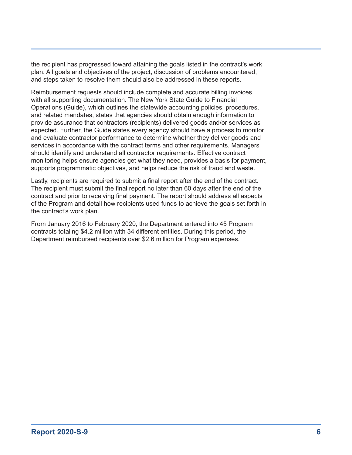the recipient has progressed toward attaining the goals listed in the contract's work plan. All goals and objectives of the project, discussion of problems encountered, and steps taken to resolve them should also be addressed in these reports.

Reimbursement requests should include complete and accurate billing invoices with all supporting documentation. The New York State Guide to Financial Operations (Guide), which outlines the statewide accounting policies, procedures, and related mandates, states that agencies should obtain enough information to provide assurance that contractors (recipients) delivered goods and/or services as expected. Further, the Guide states every agency should have a process to monitor and evaluate contractor performance to determine whether they deliver goods and services in accordance with the contract terms and other requirements. Managers should identify and understand all contractor requirements. Effective contract monitoring helps ensure agencies get what they need, provides a basis for payment, supports programmatic objectives, and helps reduce the risk of fraud and waste.

Lastly, recipients are required to submit a final report after the end of the contract. The recipient must submit the final report no later than 60 days after the end of the contract and prior to receiving final payment. The report should address all aspects of the Program and detail how recipients used funds to achieve the goals set forth in the contract's work plan.

From January 2016 to February 2020, the Department entered into 45 Program contracts totaling \$4.2 million with 34 different entities. During this period, the Department reimbursed recipients over \$2.6 million for Program expenses.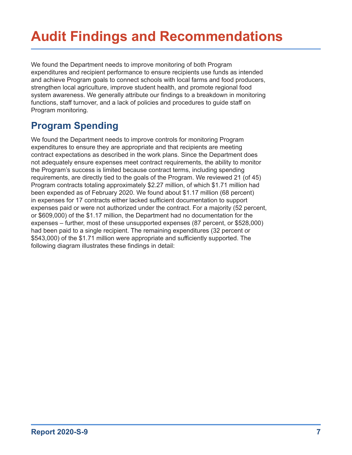# <span id="page-7-0"></span>**Audit Findings and Recommendations**

We found the Department needs to improve monitoring of both Program expenditures and recipient performance to ensure recipients use funds as intended and achieve Program goals to connect schools with local farms and food producers, strengthen local agriculture, improve student health, and promote regional food system awareness. We generally attribute our findings to a breakdown in monitoring functions, staff turnover, and a lack of policies and procedures to guide staff on Program monitoring.

### **Program Spending**

We found the Department needs to improve controls for monitoring Program expenditures to ensure they are appropriate and that recipients are meeting contract expectations as described in the work plans. Since the Department does not adequately ensure expenses meet contract requirements, the ability to monitor the Program's success is limited because contract terms, including spending requirements, are directly tied to the goals of the Program. We reviewed 21 (of 45) Program contracts totaling approximately \$2.27 million, of which \$1.71 million had been expended as of February 2020. We found about \$1.17 million (68 percent) in expenses for 17 contracts either lacked sufficient documentation to support expenses paid or were not authorized under the contract. For a majority (52 percent, or \$609,000) of the \$1.17 million, the Department had no documentation for the expenses – further, most of these unsupported expenses (87 percent, or \$528,000) had been paid to a single recipient. The remaining expenditures (32 percent or \$543,000) of the \$1.71 million were appropriate and sufficiently supported. The following diagram illustrates these findings in detail: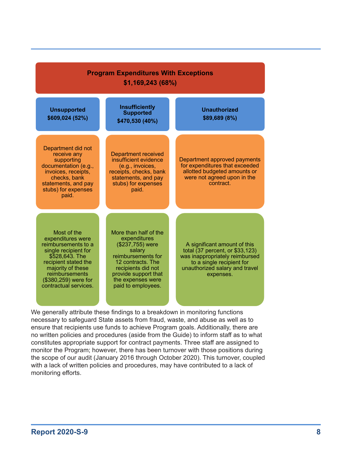| <b>Program Expenditures With Exceptions</b><br>\$1,169,243(68%)                                                                                                                                                   |                                                                                                                                                                                                         |                                                                                                                                                                               |  |
|-------------------------------------------------------------------------------------------------------------------------------------------------------------------------------------------------------------------|---------------------------------------------------------------------------------------------------------------------------------------------------------------------------------------------------------|-------------------------------------------------------------------------------------------------------------------------------------------------------------------------------|--|
| <b>Unsupported</b><br>\$609,024 (52%)                                                                                                                                                                             | <b>Insufficiently</b><br><b>Supported</b><br>\$470,530 (40%)                                                                                                                                            | <b>Unauthorized</b><br>\$89,689 (8%)                                                                                                                                          |  |
| Department did not<br>receive any<br>supporting<br>documentation (e.g.,<br>invoices, receipts,<br>checks, bank<br>statements, and pay<br>stubs) for expenses<br>paid.                                             | <b>Department received</b><br>insufficient evidence<br>(e.g., invoices,<br>receipts, checks, bank<br>statements, and pay<br>stubs) for expenses<br>paid.                                                | Department approved payments<br>for expenditures that exceeded<br>allotted budgeted amounts or<br>were not agreed upon in the<br>contract.                                    |  |
| Most of the<br>expenditures were<br>reimbursements to a<br>single recipient for<br>\$528,643. The<br>recipient stated the<br>majority of these<br>reimbursements<br>(\$380,259) were for<br>contractual services. | More than half of the<br>expenditures<br>(\$237,755) were<br>salary<br>reimbursements for<br>12 contracts. The<br>recipients did not<br>provide support that<br>the expenses were<br>paid to employees. | A significant amount of this<br>total (37 percent, or \$33,123)<br>was inappropriately reimbursed<br>to a single recipient for<br>unauthorized salary and travel<br>expenses. |  |

We generally attribute these findings to a breakdown in monitoring functions necessary to safeguard State assets from fraud, waste, and abuse as well as to ensure that recipients use funds to achieve Program goals. Additionally, there are no written policies and procedures (aside from the Guide) to inform staff as to what constitutes appropriate support for contract payments. Three staff are assigned to monitor the Program; however, there has been turnover with those positions during the scope of our audit (January 2016 through October 2020). This turnover, coupled with a lack of written policies and procedures, may have contributed to a lack of monitoring efforts.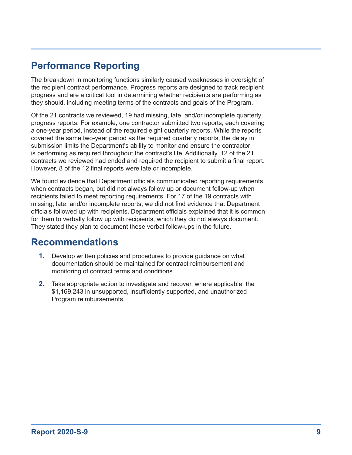### <span id="page-9-0"></span>**Performance Reporting**

The breakdown in monitoring functions similarly caused weaknesses in oversight of the recipient contract performance. Progress reports are designed to track recipient progress and are a critical tool in determining whether recipients are performing as they should, including meeting terms of the contracts and goals of the Program.

Of the 21 contracts we reviewed, 19 had missing, late, and/or incomplete quarterly progress reports. For example, one contractor submitted two reports, each covering a one-year period, instead of the required eight quarterly reports. While the reports covered the same two-year period as the required quarterly reports, the delay in submission limits the Department's ability to monitor and ensure the contractor is performing as required throughout the contract's life. Additionally, 12 of the 21 contracts we reviewed had ended and required the recipient to submit a final report. However, 8 of the 12 final reports were late or incomplete.

We found evidence that Department officials communicated reporting requirements when contracts began, but did not always follow up or document follow-up when recipients failed to meet reporting requirements. For 17 of the 19 contracts with missing, late, and/or incomplete reports, we did not find evidence that Department officials followed up with recipients. Department officials explained that it is common for them to verbally follow up with recipients, which they do not always document. They stated they plan to document these verbal follow-ups in the future.

### **Recommendations**

- **1.** Develop written policies and procedures to provide guidance on what documentation should be maintained for contract reimbursement and monitoring of contract terms and conditions.
- **2.** Take appropriate action to investigate and recover, where applicable, the \$1,169,243 in unsupported, insufficiently supported, and unauthorized Program reimbursements.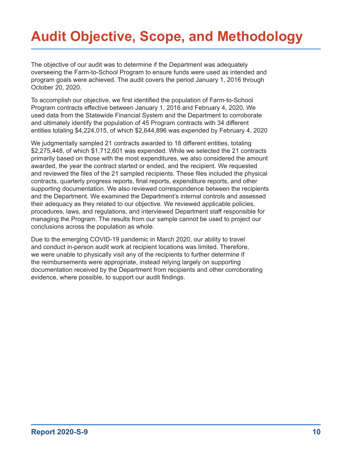# <span id="page-10-0"></span>**Audit Objective, Scope, and Methodology**

The objective of our audit was to determine if the Department was adequately overseeing the Farm-to-School Program to ensure funds were used as intended and program goals were achieved. The audit covers the period January 1, 2016 through October 20, 2020.

To accomplish our objective, we first identified the population of Farm-to-School Program contracts effective between January 1, 2016 and February 4, 2020. We used data from the Statewide Financial System and the Department to corroborate and ultimately identify the population of 45 Program contracts with 34 different entities totaling \$4,224,015, of which \$2,644,896 was expended by February 4, 2020

We judgmentally sampled 21 contracts awarded to 18 different entities, totaling \$2,275,448, of which \$1,712,601 was expended. While we selected the 21 contracts primarily based on those with the most expenditures, we also considered the amount awarded, the year the contract started or ended, and the recipient. We requested and reviewed the files of the 21 sampled recipients. These files included the physical contracts, quarterly progress reports, final reports, expenditure reports, and other supporting documentation. We also reviewed correspondence between the recipients and the Department. We examined the Department's internal controls and assessed their adequacy as they related to our objective. We reviewed applicable policies, procedures, laws, and regulations, and interviewed Department staff responsible for managing the Program. The results from our sample cannot be used to project our conclusions across the population as whole.

Due to the emerging COVID-19 pandemic in March 2020, our ability to travel and conduct in-person audit work at recipient locations was limited. Therefore, we were unable to physically visit any of the recipients to further determine if the reimbursements were appropriate, instead relying largely on supporting documentation received by the Department from recipients and other corroborating evidence, where possible, to support our audit findings.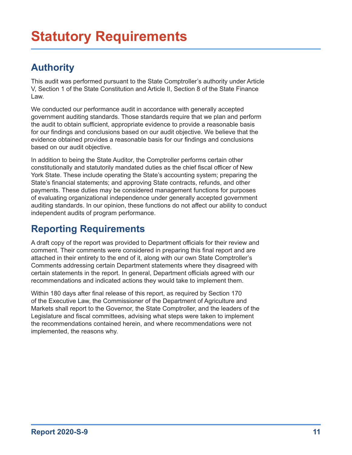### <span id="page-11-0"></span>**Authority**

This audit was performed pursuant to the State Comptroller's authority under Article V, Section 1 of the State Constitution and Article II, Section 8 of the State Finance Law.

We conducted our performance audit in accordance with generally accepted government auditing standards. Those standards require that we plan and perform the audit to obtain sufficient, appropriate evidence to provide a reasonable basis for our findings and conclusions based on our audit objective. We believe that the evidence obtained provides a reasonable basis for our findings and conclusions based on our audit objective.

In addition to being the State Auditor, the Comptroller performs certain other constitutionally and statutorily mandated duties as the chief fiscal officer of New York State. These include operating the State's accounting system; preparing the State's financial statements; and approving State contracts, refunds, and other payments. These duties may be considered management functions for purposes of evaluating organizational independence under generally accepted government auditing standards. In our opinion, these functions do not affect our ability to conduct independent audits of program performance.

### **Reporting Requirements**

A draft copy of the report was provided to Department officials for their review and comment. Their comments were considered in preparing this final report and are attached in their entirety to the end of it, along with our own State Comptroller's Comments addressing certain Department statements where they disagreed with certain statements in the report. In general, Department officials agreed with our recommendations and indicated actions they would take to implement them.

Within 180 days after final release of this report, as required by Section 170 of the Executive Law, the Commissioner of the Department of Agriculture and Markets shall report to the Governor, the State Comptroller, and the leaders of the Legislature and fiscal committees, advising what steps were taken to implement the recommendations contained herein, and where recommendations were not implemented, the reasons why.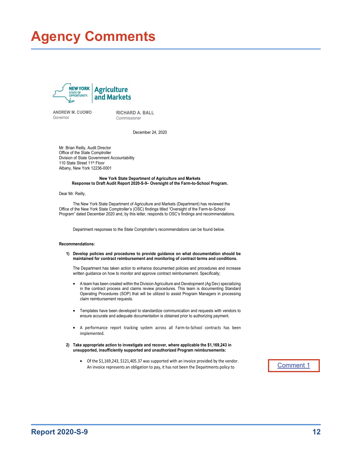## <span id="page-12-0"></span>**Agency Comments**



ANDREW M. CUOMO Governor

RICHARD A. BALL Commissioner

December 24, 2020

Mr. Brian Reilly, Audit Director Office of the State Comptroller Division of State Government Accountability 110 State Street 11<sup>th</sup> Floor Albany, New York 12236-0001

#### New York State Department of Agriculture and Markets Response to Draft Audit Report 2020-S-9– Oversight of the Farm-to-School Program.

Dear Mr. Reilly,

The New York State Department of Agriculture and Markets (Department) has reviewed the Office of the New York State Comptroller's (OSC) findings titled "Oversight of the Farm-to-School Program" dated December 2020 and, by this letter, responds to OSC's findings and recommendations.

Department responses to the State Comptroller's recommendations can be found below.

#### Recommendations:

1) Develop policies and procedures to provide guidance on what documentation should be maintained for contract reimbursement and monitoring of contract terms and conditions.

The Department has taken action to enhance documented policies and procedures and increase written guidance on how to monitor and approve contract reimbursement. Specifically;

- A team has been created within the Division Agriculture and Development (Ag Dev) specializing in the contract process and claims review procedures. This team is documenting Standard Operating Procedures (SOP) that will be utilized to assist Program Managers in processing claim reimbursement requests.
- Templates have been developed to standardize communication and requests with vendors to ensure accurate and adequate documentation is obtained prior to authorizing payment.
- A performance report tracking system across all Farm-to-School contracts has been implemented.
- 2) Take appropriate action to investigate and recover, where applicable the \$1,169,243 in unsupported, insufficiently supported and unauthorized Program reimbursements:
	- Of the \$1,169,243, \$121,405.37 was supported with an invoice provided by the vendor. An invoice represents an obligation to pay, it has not been the Departments policy to

#### [Comment 1](#page-15-1)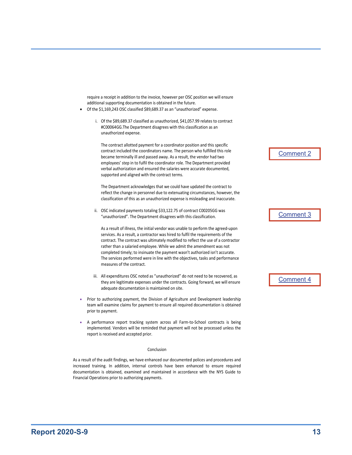require a receipt in addition to the invoice, however per OSC position we will ensure additional supporting documentation is obtained in the future.

- Of the \$1,169,243 OSC classified \$89,689.37 as an "unauthorized" expense.
	- i. Of the \$89,689.37 classified as unauthorized, \$41,057.99 relates to contract #C00064GG.The Department disagrees with this classification as an unauthorized expense.

The contract allotted payment for a coordinator position and this specific contract included the coordinators name. The person who fulfilled this role became terminally ill and passed away. As a result, the vendor had two employees' step in to fulfil the coordinator role. The Department provided verbal authorization and ensured the salaries were accurate documented, supported and aligned with the contract terms.

The Department acknowledges that we could have updated the contract to reflect the change in personnel due to extenuating circumstances, however, the classification of this as an unauthorized expense is misleading and inaccurate.

ii. OSC indicated payments totaling \$33,122.75 of contract C00205GG was "unauthorized". The Department disagrees with this classification.

As a result of illness, the initial vendor was unable to perform the agreed-upon services. As a result, a contractor was hired to fulfil the requirements of the contract. The contract was ultimately modified to reflect the use of a contractor rather than a salaried employee. While we admit the amendment was not completed timely; to insinuate the payment wasn't authorized isn't accurate. The services performed were in line with the objectives, tasks and performance measures of the contract.

- iii. All expenditures OSC noted as "unauthorized" do not need to be recovered, as they are legitimate expenses under the contracts. Going forward, we will ensure adequate documentation is maintained on site.
- Prior to authorizing payment, the Division of Agriculture and Development leadership team will examine claims for payment to ensure all required documentation is obtained prior to payment.
- A performance report tracking system across all Farm-to-School contracts is being implemented. Vendors will be reminded that payment will not be processed unless the report is received and accepted prior.

#### Conclusion

As a result of the audit findings, we have enhanced our documented polices and procedures and increased training. In addition, internal controls have been enhanced to ensure required documentation is obtained, examined and maintained in accordance with the NYS Guide to Financial Operations prior to authorizing payments.

[Comment 2](#page-15-2)

[Comment 3](#page-15-3)

[Comment 4](#page-15-4)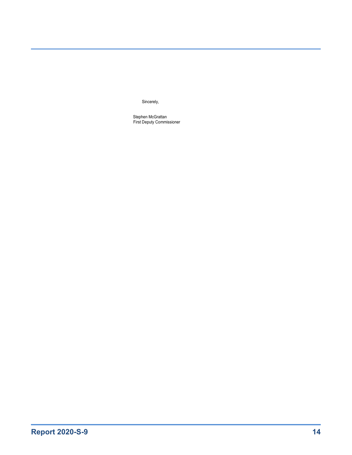Sincerely,

Stephen McGrattan First Deputy Commissioner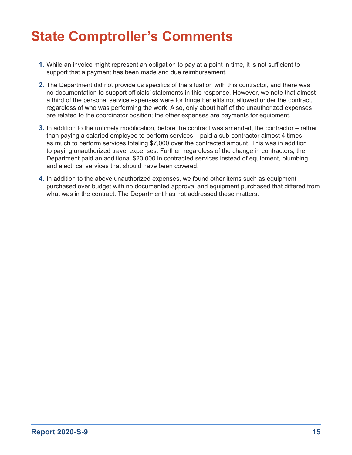## <span id="page-15-0"></span>**State Comptroller's Comments**

- <span id="page-15-1"></span>**1.** While an invoice might represent an obligation to pay at a point in time, it is not sufficient to support that a payment has been made and due reimbursement.
- <span id="page-15-2"></span>**2.** The Department did not provide us specifics of the situation with this contractor, and there was no documentation to support officials' statements in this response. However, we note that almost a third of the personal service expenses were for fringe benefits not allowed under the contract, regardless of who was performing the work. Also, only about half of the unauthorized expenses are related to the coordinator position; the other expenses are payments for equipment.
- <span id="page-15-3"></span>**3.** In addition to the untimely modification, before the contract was amended, the contractor – rather than paying a salaried employee to perform services – paid a sub-contractor almost 4 times as much to perform services totaling \$7,000 over the contracted amount. This was in addition to paying unauthorized travel expenses. Further, regardless of the change in contractors, the Department paid an additional \$20,000 in contracted services instead of equipment, plumbing, and electrical services that should have been covered.
- <span id="page-15-4"></span>**4.** In addition to the above unauthorized expenses, we found other items such as equipment purchased over budget with no documented approval and equipment purchased that differed from what was in the contract. The Department has not addressed these matters.